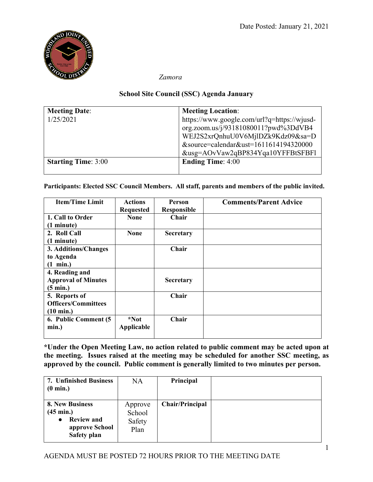

 *Zamora*

## **School Site Council (SSC) Agenda January**

| <b>Meeting Date:</b>       | <b>Meeting Location:</b>                    |
|----------------------------|---------------------------------------------|
| 1/25/2021                  | https://www.google.com/url?q=https://wjusd- |
|                            | org.zoom.us/j/93181080011?pwd%3DdVB4        |
|                            | WEJ2S2xrQnhuU0V6MjlDZk9Kdz09&sa=D           |
|                            | &source=calendar&ust=1611614194320000       |
|                            | &usg=AOvVaw2qBP834Yqa10YFFBtSFBFl           |
| <b>Starting Time: 3:00</b> | <b>Ending Time: 4:00</b>                    |
|                            |                                             |

**Participants: Elected SSC Council Members. All staff, parents and members of the public invited.**

| <b>Item/Time Limit</b>     | <b>Actions</b>   | <b>Person</b>      | <b>Comments/Parent Advice</b> |
|----------------------------|------------------|--------------------|-------------------------------|
|                            | <b>Requested</b> | <b>Responsible</b> |                               |
| 1. Call to Order           | <b>None</b>      | Chair              |                               |
| (1 minute)                 |                  |                    |                               |
| 2. Roll Call               | <b>None</b>      | <b>Secretary</b>   |                               |
| (1 minute)                 |                  |                    |                               |
| 3. Additions/Changes       |                  | Chair              |                               |
| to Agenda                  |                  |                    |                               |
| $(1 \text{ min.})$         |                  |                    |                               |
| 4. Reading and             |                  |                    |                               |
| <b>Approval of Minutes</b> |                  | Secretary          |                               |
| $(5 \text{ min.})$         |                  |                    |                               |
| 5. Reports of              |                  | Chair              |                               |
| <b>Officers/Committees</b> |                  |                    |                               |
| $(10 \text{ min.})$        |                  |                    |                               |
| 6. Public Comment (5)      | *Not             | Chair              |                               |
| min.)                      | Applicable       |                    |                               |
|                            |                  |                    |                               |

**\*Under the Open Meeting Law, no action related to public comment may be acted upon at the meeting. Issues raised at the meeting may be scheduled for another SSC meeting, as approved by the council. Public comment is generally limited to two minutes per person.**

| <b>7. Unfinished Business</b><br>$(0 \text{ min.})$                                                       | <b>NA</b>                           | Principal              |  |
|-----------------------------------------------------------------------------------------------------------|-------------------------------------|------------------------|--|
| 8. New Business<br>$(45 \text{ min.})$<br><b>Review and</b><br>$\bullet$<br>approve School<br>Safety plan | Approve<br>School<br>Safety<br>Plan | <b>Chair/Principal</b> |  |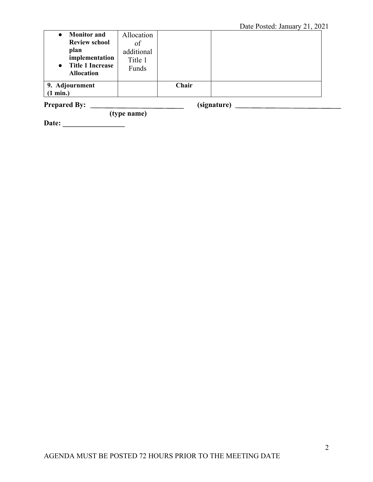| <b>Monitor and</b>                                                                  | Allocation                     |       |  |
|-------------------------------------------------------------------------------------|--------------------------------|-------|--|
| <b>Review school</b>                                                                | of                             |       |  |
| plan<br>implementation<br><b>Title 1 Increase</b><br>$\bullet$<br><b>Allocation</b> | additional<br>Title 1<br>Funds |       |  |
| 9. Adjournment                                                                      |                                | Chair |  |
| (1 min.)                                                                            |                                |       |  |
|                                                                                     |                                |       |  |

**Prepared By: (signature)** 

**Date: \_\_\_\_\_\_\_\_\_\_\_\_\_\_\_\_\_**

 **(type name)**